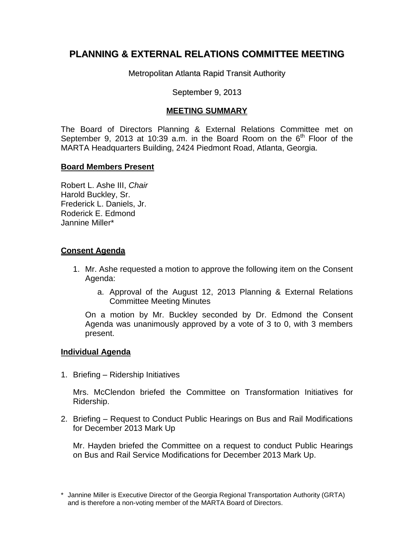# **PLANNING & EXTERNAL RELATIONS COMMITTEE MEETING**

Metropolitan Atlanta Rapid Transit Authority

### September 9, 2013

## **MEETING SUMMARY**

The Board of Directors Planning & External Relations Committee met on September 9, 2013 at 10:39 a.m. in the Board Room on the  $6<sup>th</sup>$  Floor of the MARTA Headquarters Building, 2424 Piedmont Road, Atlanta, Georgia.

### **Board Members Present**

Robert L. Ashe III, *Chair*  Harold Buckley, Sr. Frederick L. Daniels, Jr. Roderick E. Edmond Jannine Miller\*

### **Consent Agenda**

- 1. Mr. Ashe requested a motion to approve the following item on the Consent Agenda:
	- a. Approval of the August 12, 2013 Planning & External Relations Committee Meeting Minutes

On a motion by Mr. Buckley seconded by Dr. Edmond the Consent Agenda was unanimously approved by a vote of 3 to 0, with 3 members present.

#### **Individual Agenda**

1. Briefing – Ridership Initiatives

Mrs. McClendon briefed the Committee on Transformation Initiatives for Ridership.

2. Briefing – Request to Conduct Public Hearings on Bus and Rail Modifications for December 2013 Mark Up

Mr. Hayden briefed the Committee on a request to conduct Public Hearings on Bus and Rail Service Modifications for December 2013 Mark Up.

<sup>\*</sup> Jannine Miller is Executive Director of the Georgia Regional Transportation Authority (GRTA) and is therefore a non-voting member of the MARTA Board of Directors.